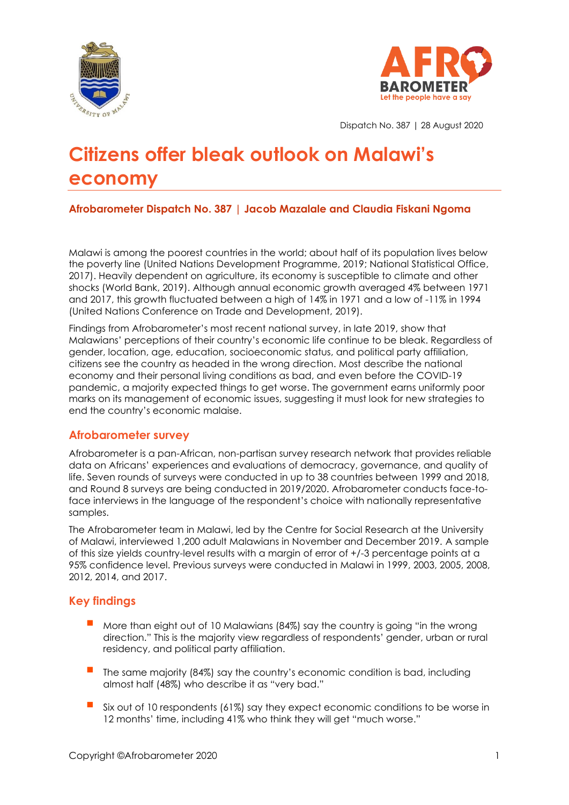



Dispatch No. 387 | 28 August 2020

# **Citizens offer bleak outlook on Malawi's economy**

## **Afrobarometer Dispatch No. 387 | Jacob Mazalale and Claudia Fiskani Ngoma**

Malawi is among the poorest countries in the world; about half of its population lives below the poverty line (United Nations Development Programme, 2019; National Statistical Office, 2017). Heavily dependent on agriculture, its economy is susceptible to climate and other shocks (World Bank, 2019). Although annual economic growth averaged 4% between 1971 and 2017, this growth fluctuated between a high of 14% in 1971 and a low of -11% in 1994 (United Nations Conference on Trade and Development, 2019).

Findings from Afrobarometer's most recent national survey, in late 2019, show that Malawians' perceptions of their country's economic life continue to be bleak. Regardless of gender, location, age, education, socioeconomic status, and political party affiliation, citizens see the country as headed in the wrong direction. Most describe the national economy and their personal living conditions as bad, and even before the COVID-19 pandemic, a majority expected things to get worse. The government earns uniformly poor marks on its management of economic issues, suggesting it must look for new strategies to end the country's economic malaise.

## **Afrobarometer survey**

Afrobarometer is a pan-African, non-partisan survey research network that provides reliable data on Africans' experiences and evaluations of democracy, governance, and quality of life. Seven rounds of surveys were conducted in up to 38 countries between 1999 and 2018, and Round 8 surveys are being conducted in 2019/2020. Afrobarometer conducts face-toface interviews in the language of the respondent's choice with nationally representative samples.

The Afrobarometer team in Malawi, led by the Centre for Social Research at the University of Malawi, interviewed 1,200 adult Malawians in November and December 2019. A sample of this size yields country-level results with a margin of error of +/-3 percentage points at a 95% confidence level. Previous surveys were conducted in Malawi in 1999, 2003, 2005, 2008, 2012, 2014, and 2017.

## **Key findings**

- More than eight out of 10 Malawians (84%) say the country is going "in the wrong direction." This is the majority view regardless of respondents' gender, urban or rural residency, and political party affiliation.
- The same majority (84%) say the country's economic condition is bad, including almost half (48%) who describe it as "very bad."
- Six out of 10 respondents (61%) say they expect economic conditions to be worse in 12 months' time, including 41% who think they will get "much worse."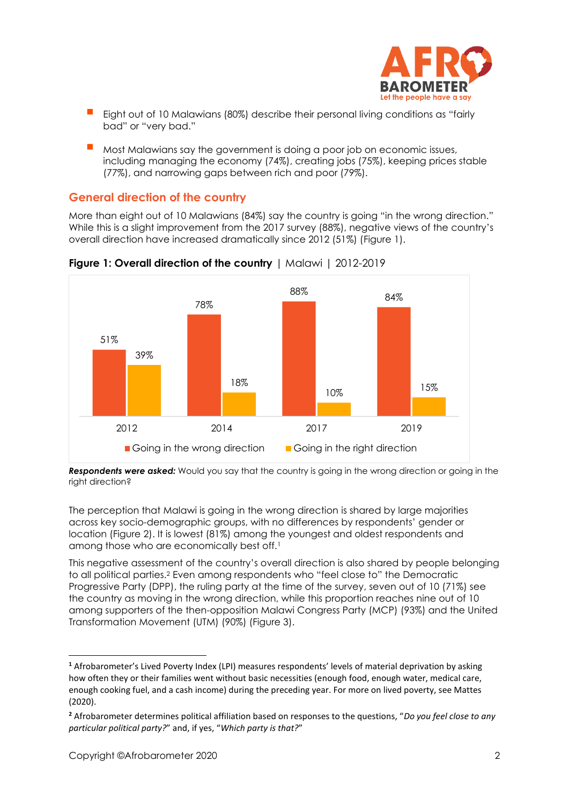

- Eight out of 10 Malawians (80%) describe their personal living conditions as "fairly bad" or "very bad."
- Most Malawians say the government is doing a poor job on economic issues, including managing the economy (74%), creating jobs (75%), keeping prices stable (77%), and narrowing gaps between rich and poor (79%).

## **General direction of the country**

More than eight out of 10 Malawians (84%) say the country is going "in the wrong direction." While this is a slight improvement from the 2017 survey (88%), negative views of the country's overall direction have increased dramatically since 2012 (51%) (Figure 1).





*Respondents were asked:* Would you say that the country is going in the wrong direction or going in the right direction?

The perception that Malawi is going in the wrong direction is shared by large majorities across key socio-demographic groups, with no differences by respondents' gender or location (Figure 2). It is lowest (81%) among the youngest and oldest respondents and among those who are economically best off.<sup>1</sup>

This negative assessment of the country's overall direction is also shared by people belonging to all political parties.<sup>2</sup> Even among respondents who "feel close to" the Democratic Progressive Party (DPP), the ruling party at the time of the survey, seven out of 10 (71%) see the country as moving in the wrong direction, while this proportion reaches nine out of 10 among supporters of the then-opposition Malawi Congress Party (MCP) (93%) and the United Transformation Movement (UTM) (90%) (Figure 3).

**<sup>1</sup>** Afrobarometer's Lived Poverty Index (LPI) measures respondents' levels of material deprivation by asking how often they or their families went without basic necessities (enough food, enough water, medical care, enough cooking fuel, and a cash income) during the preceding year. For more on lived poverty, see Mattes (2020).

**<sup>2</sup>** Afrobarometer determines political affiliation based on responses to the questions, "*Do you feel close to any particular political party?*" and, if yes, "*Which party is that?*"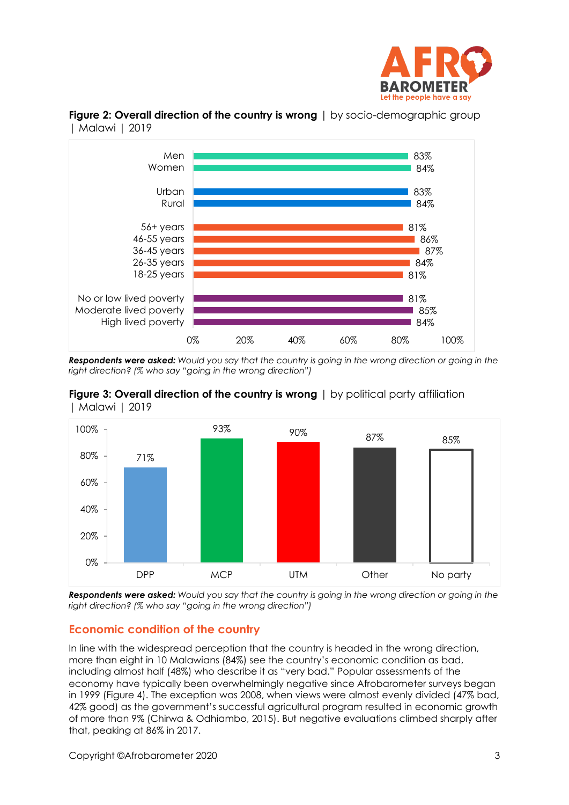



**Figure 2: Overall direction of the country is wrong** | by socio-demographic group | Malawi | 2019

*Respondents were asked: Would you say that the country is going in the wrong direction or going in the right direction? (% who say "going in the wrong direction")*





*Respondents were asked: Would you say that the country is going in the wrong direction or going in the right direction? (% who say "going in the wrong direction")*

## **Economic condition of the country**

In line with the widespread perception that the country is headed in the wrong direction, more than eight in 10 Malawians (84%) see the country's economic condition as bad, including almost half (48%) who describe it as "very bad." Popular assessments of the economy have typically been overwhelmingly negative since Afrobarometer surveys began in 1999 (Figure 4). The exception was 2008, when views were almost evenly divided (47% bad, 42% good) as the government's successful agricultural program resulted in economic growth of more than 9% (Chirwa & Odhiambo, 2015). But negative evaluations climbed sharply after that, peaking at 86% in 2017.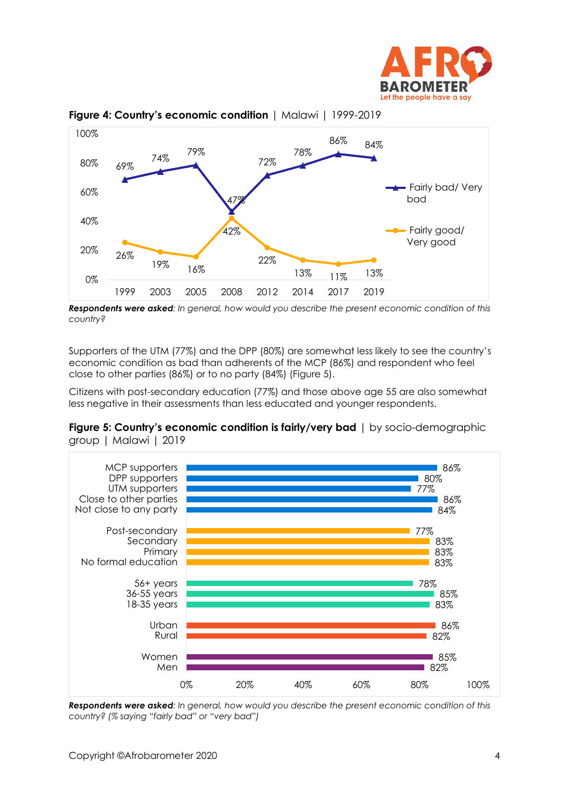



### **Figure 4: Country's economic condition** | Malawi | 1999-2019

*Respondents were asked: In general, how would you describe the present economic condition of this country?*

Supporters of the UTM (77%) and the DPP (80%) are somewhat less likely to see the country's economic condition as bad than adherents of the MCP (86%) and respondent who feel close to other parties (86%) or to no party (84%) (Figure 5).

Citizens with post-secondary education (77%) and those above age 55 are also somewhat less negative in their assessments than less educated and younger respondents.





*Respondents were asked: In general, how would you describe the present economic condition of this country? (% saying "fairly bad" or "very bad")*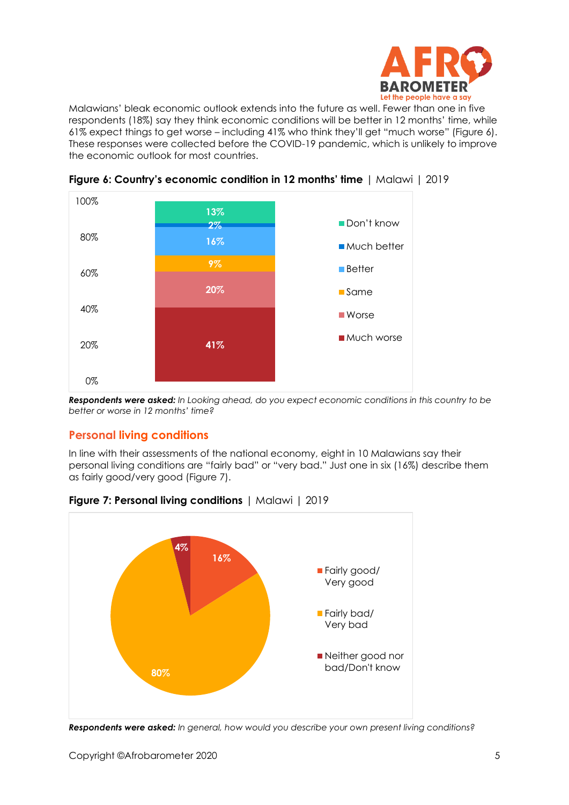

Malawians' bleak economic outlook extends into the future as well. Fewer than one in five respondents (18%) say they think economic conditions will be better in 12 months' time, while 61% expect things to get worse – including 41% who think they'll get "much worse" (Figure 6). These responses were collected before the COVID-19 pandemic, which is unlikely to improve the economic outlook for most countries.



**Figure 6: Country's economic condition in 12 months' time** | Malawi | 2019

*Respondents were asked: In Looking ahead, do you expect economic conditions in this country to be better or worse in 12 months' time?*

## **Personal living conditions**

In line with their assessments of the national economy, eight in 10 Malawians say their personal living conditions are "fairly bad" or "very bad." Just one in six (16%) describe them as fairly good/very good (Figure 7).



**Figure 7: Personal living conditions** | Malawi | 2019

*Respondents were asked: In general, how would you describe your own present living conditions?*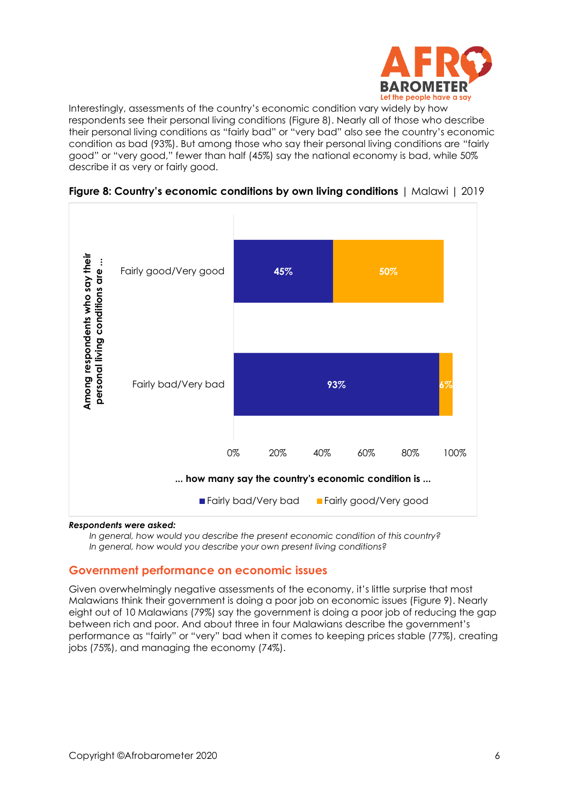

Interestingly, assessments of the country's economic condition vary widely by how respondents see their personal living conditions (Figure 8). Nearly all of those who describe their personal living conditions as "fairly bad" or "very bad" also see the country's economic condition as bad (93%). But among those who say their personal living conditions are "fairly good" or "very good," fewer than half (45%) say the national economy is bad, while 50% describe it as very or fairly good.





#### *Respondents were asked:*

*In general, how would you describe the present economic condition of this country? In general, how would you describe your own present living conditions?*

## **Government performance on economic issues**

Given overwhelmingly negative assessments of the economy, it's little surprise that most Malawians think their government is doing a poor job on economic issues (Figure 9). Nearly eight out of 10 Malawians (79%) say the government is doing a poor job of reducing the gap between rich and poor. And about three in four Malawians describe the government's performance as "fairly" or "very" bad when it comes to keeping prices stable (77%), creating jobs (75%), and managing the economy (74%).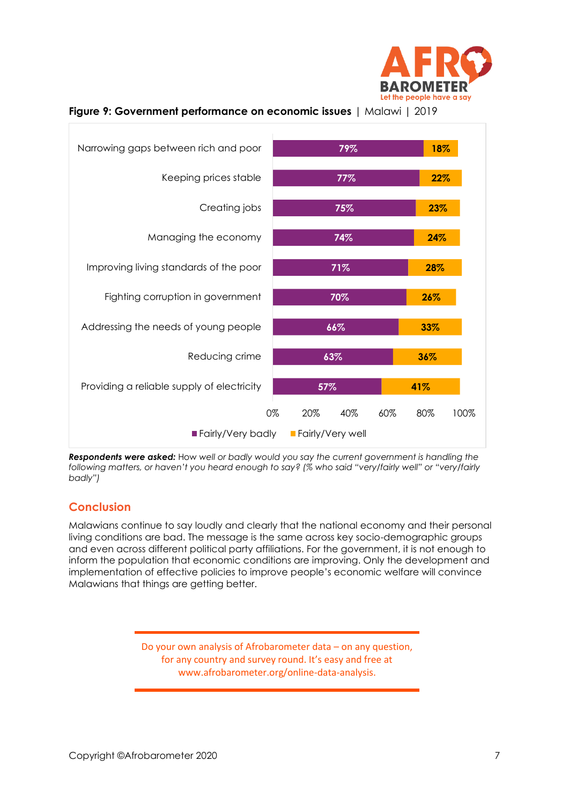



**Figure 9: Government performance on economic issues** | Malawi | 2019

*Respondents were asked:* How *well or badly would you say the current government is handling the following matters, or haven't you heard enough to say? (% who said "very/fairly well" or "very/fairly badly")*

## **Conclusion**

Malawians continue to say loudly and clearly that the national economy and their personal living conditions are bad. The message is the same across key socio-demographic groups and even across different political party affiliations. For the government, it is not enough to inform the population that economic conditions are improving. Only the development and implementation of effective policies to improve people's economic welfare will convince Malawians that things are getting better.

> Do your own analysis of Afrobarometer data – on any question, for any country and survey round. It's easy and free at www.afrobarometer.org/online-data-analysis.